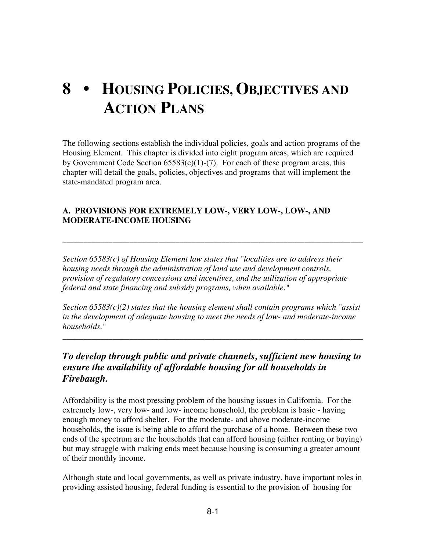# **8 • HOUSING POLICIES, OBJECTIVES AND ACTION PLANS**

The following sections establish the individual policies, goals and action programs of the Housing Element. This chapter is divided into eight program areas, which are required by Government Code Section  $65583(c)(1)-(7)$ . For each of these program areas, this chapter will detail the goals, policies, objectives and programs that will implement the state-mandated program area.

#### **A. PROVISIONS FOR EXTREMELY LOW-, VERY LOW-, LOW-, AND MODERATE-INCOME HOUSING**

*Section 65583(c) of Housing Element law states that "localities are to address their housing needs through the administration of land use and development controls, provision of regulatory concessions and incentives, and the utilization of appropriate federal and state financing and subsidy programs, when available."*

**\_\_\_\_\_\_\_\_\_\_\_\_\_\_\_\_\_\_\_\_\_\_\_\_\_\_\_\_\_\_\_\_\_\_\_\_\_\_\_\_\_\_\_\_\_\_\_\_\_\_\_\_\_\_\_\_\_\_\_\_\_\_\_\_\_\_\_\_\_\_\_\_**

*Section 65583(c)(2) states that the housing element shall contain programs which "assist in the development of adequate housing to meet the needs of low- and moderate-income households."*

*\_\_\_\_\_\_\_\_\_\_\_\_\_\_\_\_\_\_\_\_\_\_\_\_\_\_\_\_\_\_\_\_\_\_\_\_\_\_\_\_\_\_\_\_\_\_\_\_\_\_\_\_\_\_\_\_\_\_\_\_\_\_\_\_\_\_\_\_\_\_\_\_*

# *To develop through public and private channels, sufficient new housing to ensure the availability of affordable housing for all households in Firebaugh.*

Affordability is the most pressing problem of the housing issues in California. For the extremely low-, very low- and low- income household, the problem is basic - having enough money to afford shelter. For the moderate- and above moderate-income households, the issue is being able to afford the purchase of a home. Between these two ends of the spectrum are the households that can afford housing (either renting or buying) but may struggle with making ends meet because housing is consuming a greater amount of their monthly income.

Although state and local governments, as well as private industry, have important roles in providing assisted housing, federal funding is essential to the provision of housing for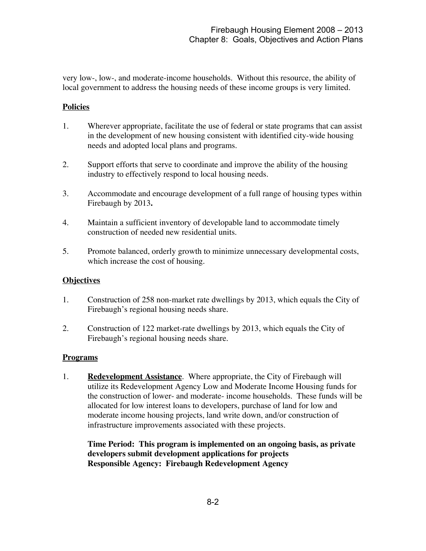very low-, low-, and moderate-income households. Without this resource, the ability of local government to address the housing needs of these income groups is very limited.

#### **Policies**

- 1. Wherever appropriate, facilitate the use of federal or state programs that can assist in the development of new housing consistent with identified city-wide housing needs and adopted local plans and programs.
- 2. Support efforts that serve to coordinate and improve the ability of the housing industry to effectively respond to local housing needs.
- 3. Accommodate and encourage development of a full range of housing types within Firebaugh by 2013**.**
- 4. Maintain a sufficient inventory of developable land to accommodate timely construction of needed new residential units.
- 5. Promote balanced, orderly growth to minimize unnecessary developmental costs, which increase the cost of housing.

#### **Objectives**

- 1. Construction of 258 non-market rate dwellings by 2013, which equals the City of Firebaugh's regional housing needs share.
- 2. Construction of 122 market-rate dwellings by 2013, which equals the City of Firebaugh's regional housing needs share.

#### **Programs**

1. **Redevelopment Assistance**. Where appropriate, the City of Firebaugh will utilize its Redevelopment Agency Low and Moderate Income Housing funds for the construction of lower- and moderate- income households. These funds will be allocated for low interest loans to developers, purchase of land for low and moderate income housing projects, land write down, and/or construction of infrastructure improvements associated with these projects.

**Time Period: This program is implemented on an ongoing basis, as private developers submit development applications for projects Responsible Agency: Firebaugh Redevelopment Agency**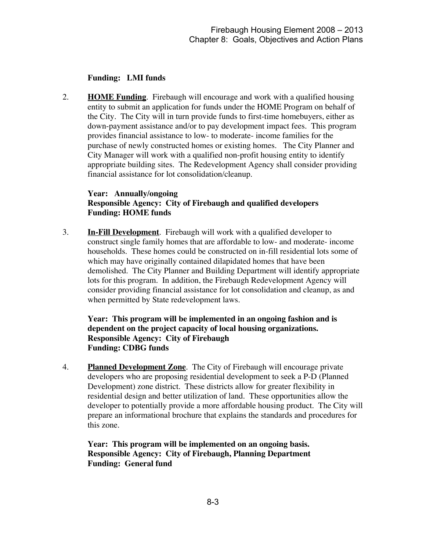#### **Funding: LMI funds**

2. **HOME Funding**. Firebaugh will encourage and work with a qualified housing entity to submit an application for funds under the HOME Program on behalf of the City. The City will in turn provide funds to first-time homebuyers, either as down-payment assistance and/or to pay development impact fees. This program provides financial assistance to low- to moderate- income families for the purchase of newly constructed homes or existing homes. The City Planner and City Manager will work with a qualified non-profit housing entity to identify appropriate building sites. The Redevelopment Agency shall consider providing financial assistance for lot consolidation/cleanup.

#### **Year: Annually/ongoing Responsible Agency: City of Firebaugh and qualified developers Funding: HOME funds**

3. **In-Fill Development**. Firebaugh will work with a qualified developer to construct single family homes that are affordable to low- and moderate- income households. These homes could be constructed on in-fill residential lots some of which may have originally contained dilapidated homes that have been demolished. The City Planner and Building Department will identify appropriate lots for this program. In addition, the Firebaugh Redevelopment Agency will consider providing financial assistance for lot consolidation and cleanup, as and when permitted by State redevelopment laws.

**Year: This program will be implemented in an ongoing fashion and is dependent on the project capacity of local housing organizations. Responsible Agency: City of Firebaugh Funding: CDBG funds**

4. **Planned Development Zone**. The City of Firebaugh will encourage private developers who are proposing residential development to seek a P-D (Planned Development) zone district. These districts allow for greater flexibility in residential design and better utilization of land. These opportunities allow the developer to potentially provide a more affordable housing product. The City will prepare an informational brochure that explains the standards and procedures for this zone.

**Year: This program will be implemented on an ongoing basis. Responsible Agency: City of Firebaugh, Planning Department Funding: General fund**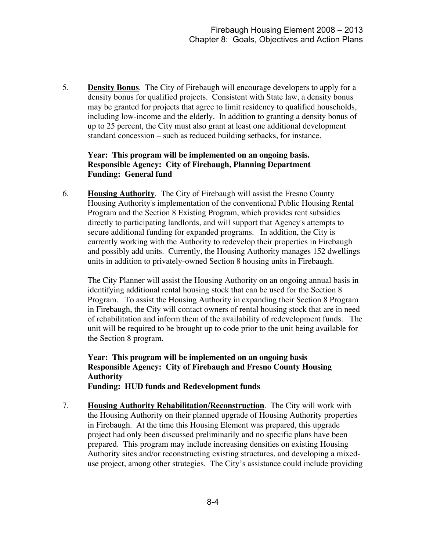5. **Density Bonus**. The City of Firebaugh will encourage developers to apply for a density bonus for qualified projects. Consistent with State law, a density bonus may be granted for projects that agree to limit residency to qualified households, including low-income and the elderly. In addition to granting a density bonus of up to 25 percent, the City must also grant at least one additional development standard concession – such as reduced building setbacks, for instance.

#### **Year: This program will be implemented on an ongoing basis. Responsible Agency: City of Firebaugh, Planning Department Funding: General fund**

6. **Housing Authority**. The City of Firebaugh will assist the Fresno County Housing Authority's implementation of the conventional Public Housing Rental Program and the Section 8 Existing Program, which provides rent subsidies directly to participating landlords, and will support that Agency's attempts to secure additional funding for expanded programs. In addition, the City is currently working with the Authority to redevelop their properties in Firebaugh and possibly add units. Currently, the Housing Authority manages 152 dwellings units in addition to privately-owned Section 8 housing units in Firebaugh.

The City Planner will assist the Housing Authority on an ongoing annual basis in identifying additional rental housing stock that can be used for the Section 8 Program. To assist the Housing Authority in expanding their Section 8 Program in Firebaugh, the City will contact owners of rental housing stock that are in need of rehabilitation and inform them of the availability of redevelopment funds. The unit will be required to be brought up to code prior to the unit being available for the Section 8 program.

**Year: This program will be implemented on an ongoing basis Responsible Agency: City of Firebaugh and Fresno County Housing Authority Funding: HUD funds and Redevelopment funds**

7. **Housing Authority Rehabilitation/Reconstruction**. The City will work with the Housing Authority on their planned upgrade of Housing Authority properties in Firebaugh. At the time this Housing Element was prepared, this upgrade project had only been discussed preliminarily and no specific plans have been prepared. This program may include increasing densities on existing Housing Authority sites and/or reconstructing existing structures, and developing a mixeduse project, among other strategies. The City's assistance could include providing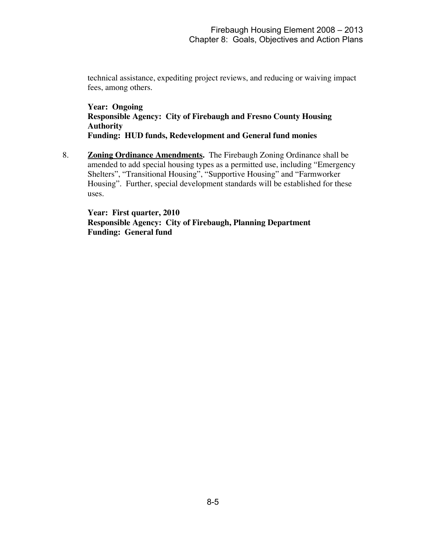technical assistance, expediting project reviews, and reducing or waiving impact fees, among others.

**Year: Ongoing Responsible Agency: City of Firebaugh and Fresno County Housing Authority Funding: HUD funds, Redevelopment and General fund monies**

8. **Zoning Ordinance Amendments.** The Firebaugh Zoning Ordinance shall be amended to add special housing types as a permitted use, including "Emergency Shelters", "Transitional Housing", "Supportive Housing" and "Farmworker Housing". Further, special development standards will be established for these uses.

**Year: First quarter, 2010 Responsible Agency: City of Firebaugh, Planning Department Funding: General fund**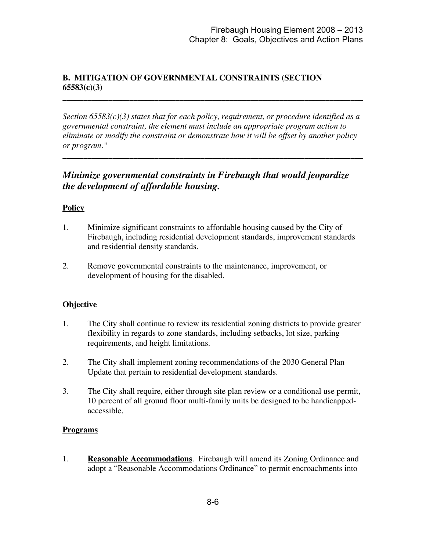# **B. MITIGATION OF GOVERNMENTAL CONSTRAINTS (SECTION 65583(c)(3)**

*Section 65583(c)(3) states that for each policy, requirement, or procedure identified as a governmental constraint, the element must include an appropriate program action to eliminate or modify the constraint or demonstrate how it will be offset by another policy or program."*

**\_\_\_\_\_\_\_\_\_\_\_\_\_\_\_\_\_\_\_\_\_\_\_\_\_\_\_\_\_\_\_\_\_\_\_\_\_\_\_\_\_\_\_\_\_\_\_\_\_\_\_\_\_\_\_\_\_\_\_\_\_\_\_\_\_\_\_\_\_\_\_\_**

**\_\_\_\_\_\_\_\_\_\_\_\_\_\_\_\_\_\_\_\_\_\_\_\_\_\_\_\_\_\_\_\_\_\_\_\_\_\_\_\_\_\_\_\_\_\_\_\_\_\_\_\_\_\_\_\_\_\_\_\_\_\_\_\_\_\_\_\_\_\_\_\_**

# *Minimize governmental constraints in Firebaugh that would jeopardize the development of affordable housing.*

#### **Policy**

- 1. Minimize significant constraints to affordable housing caused by the City of Firebaugh, including residential development standards, improvement standards and residential density standards.
- 2. Remove governmental constraints to the maintenance, improvement, or development of housing for the disabled.

#### **Objective**

- 1. The City shall continue to review its residential zoning districts to provide greater flexibility in regards to zone standards, including setbacks, lot size, parking requirements, and height limitations.
- 2. The City shall implement zoning recommendations of the 2030 General Plan Update that pertain to residential development standards.
- 3. The City shall require, either through site plan review or a conditional use permit, 10 percent of all ground floor multi-family units be designed to be handicappedaccessible.

#### **Programs**

1. **Reasonable Accommodations**. Firebaugh will amend its Zoning Ordinance and adopt a "Reasonable Accommodations Ordinance" to permit encroachments into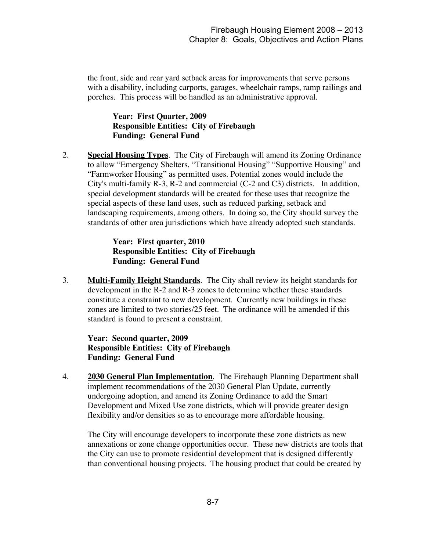the front, side and rear yard setback areas for improvements that serve persons with a disability, including carports, garages, wheelchair ramps, ramp railings and porches. This process will be handled as an administrative approval.

**Year: First Quarter, 2009 Responsible Entities: City of Firebaugh Funding: General Fund**

2. **Special Housing Types**. The City of Firebaugh will amend its Zoning Ordinance to allow "Emergency Shelters, "Transitional Housing" "Supportive Housing" and "Farmworker Housing" as permitted uses. Potential zones would include the City's multi-family R-3, R-2 and commercial (C-2 and C3) districts. In addition, special development standards will be created for these uses that recognize the special aspects of these land uses, such as reduced parking, setback and landscaping requirements, among others. In doing so, the City should survey the standards of other area jurisdictions which have already adopted such standards.

> **Year: First quarter, 2010 Responsible Entities: City of Firebaugh Funding: General Fund**

3. **Multi-Family Height Standards**. The City shall review its height standards for development in the R-2 and R-3 zones to determine whether these standards constitute a constraint to new development. Currently new buildings in these zones are limited to two stories/25 feet. The ordinance will be amended if this standard is found to present a constraint.

**Year: Second quarter, 2009 Responsible Entities: City of Firebaugh Funding: General Fund**

4. **2030 General Plan Implementation**. The Firebaugh Planning Department shall implement recommendations of the 2030 General Plan Update, currently undergoing adoption, and amend its Zoning Ordinance to add the Smart Development and Mixed Use zone districts, which will provide greater design flexibility and/or densities so as to encourage more affordable housing.

The City will encourage developers to incorporate these zone districts as new annexations or zone change opportunities occur. These new districts are tools that the City can use to promote residential development that is designed differently than conventional housing projects. The housing product that could be created by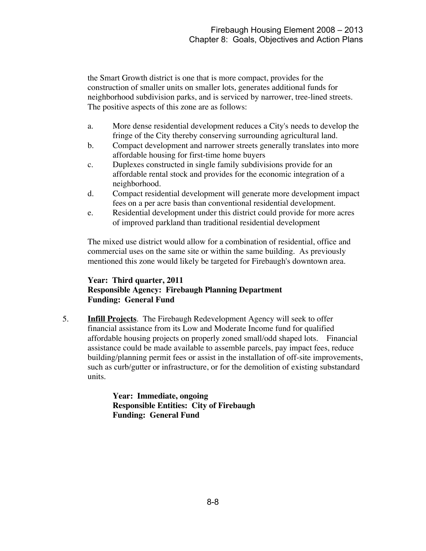the Smart Growth district is one that is more compact, provides for the construction of smaller units on smaller lots, generates additional funds for neighborhood subdivision parks, and is serviced by narrower, tree-lined streets. The positive aspects of this zone are as follows:

- a. More dense residential development reduces a City's needs to develop the fringe of the City thereby conserving surrounding agricultural land.
- b. Compact development and narrower streets generally translates into more affordable housing for first-time home buyers
- c. Duplexes constructed in single family subdivisions provide for an affordable rental stock and provides for the economic integration of a neighborhood.
- d. Compact residential development will generate more development impact fees on a per acre basis than conventional residential development.
- e. Residential development under this district could provide for more acres of improved parkland than traditional residential development

The mixed use district would allow for a combination of residential, office and commercial uses on the same site or within the same building. As previously mentioned this zone would likely be targeted for Firebaugh's downtown area.

# **Year: Third quarter, 2011 Responsible Agency: Firebaugh Planning Department Funding: General Fund**

5. **Infill Projects**. The Firebaugh Redevelopment Agency will seek to offer financial assistance from its Low and Moderate Income fund for qualified affordable housing projects on properly zoned small/odd shaped lots. Financial assistance could be made available to assemble parcels, pay impact fees, reduce building/planning permit fees or assist in the installation of off-site improvements, such as curb/gutter or infrastructure, or for the demolition of existing substandard units.

> **Year: Immediate, ongoing Responsible Entities: City of Firebaugh Funding: General Fund**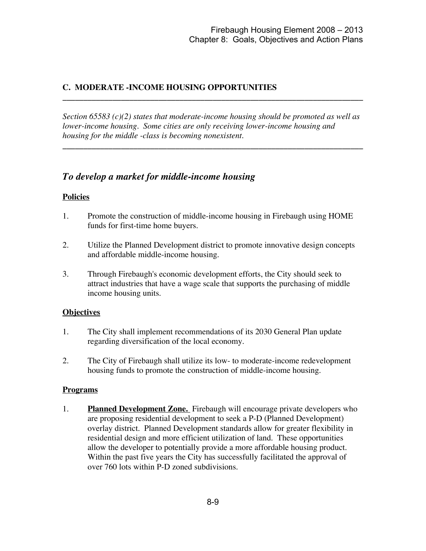# **C. MODERATE -INCOME HOUSING OPPORTUNITIES**

*Section 65583 (c)(2) states that moderate-income housing should be promoted as well as lower-income housing. Some cities are only receiving lower-income housing and housing for the middle -class is becoming nonexistent.*

**\_\_\_\_\_\_\_\_\_\_\_\_\_\_\_\_\_\_\_\_\_\_\_\_\_\_\_\_\_\_\_\_\_\_\_\_\_\_\_\_\_\_\_\_\_\_\_\_\_\_\_\_\_\_\_\_\_\_\_\_\_\_\_\_\_\_\_\_\_\_\_\_**

**\_\_\_\_\_\_\_\_\_\_\_\_\_\_\_\_\_\_\_\_\_\_\_\_\_\_\_\_\_\_\_\_\_\_\_\_\_\_\_\_\_\_\_\_\_\_\_\_\_\_\_\_\_\_\_\_\_\_\_\_\_\_\_\_\_\_\_\_\_\_\_\_**

# *To develop a market for middle-income housing*

#### **Policies**

- 1. Promote the construction of middle-income housing in Firebaugh using HOME funds for first-time home buyers.
- 2. Utilize the Planned Development district to promote innovative design concepts and affordable middle-income housing.
- 3. Through Firebaugh's economic development efforts, the City should seek to attract industries that have a wage scale that supports the purchasing of middle income housing units.

#### **Objectives**

- 1. The City shall implement recommendations of its 2030 General Plan update regarding diversification of the local economy.
- 2. The City of Firebaugh shall utilize its low- to moderate-income redevelopment housing funds to promote the construction of middle-income housing.

#### **Programs**

1. **Planned Development Zone.** Firebaugh will encourage private developers who are proposing residential development to seek a P-D (Planned Development) overlay district. Planned Development standards allow for greater flexibility in residential design and more efficient utilization of land. These opportunities allow the developer to potentially provide a more affordable housing product. Within the past five years the City has successfully facilitated the approval of over 760 lots within P-D zoned subdivisions.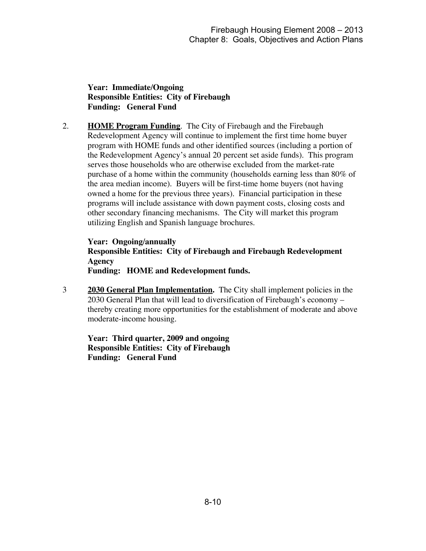**Year: Immediate/Ongoing Responsible Entities: City of Firebaugh Funding: General Fund**

2. **HOME Program Funding**. The City of Firebaugh and the Firebaugh Redevelopment Agency will continue to implement the first time home buyer program with HOME funds and other identified sources (including a portion of the Redevelopment Agency's annual 20 percent set aside funds). This program serves those households who are otherwise excluded from the market-rate purchase of a home within the community (households earning less than 80% of the area median income). Buyers will be first-time home buyers (not having owned a home for the previous three years). Financial participation in these programs will include assistance with down payment costs, closing costs and other secondary financing mechanisms. The City will market this program utilizing English and Spanish language brochures.

**Year: Ongoing/annually Responsible Entities: City of Firebaugh and Firebaugh Redevelopment Agency Funding: HOME and Redevelopment funds.**

3 **2030 General Plan Implementation.** The City shall implement policies in the 2030 General Plan that will lead to diversification of Firebaugh's economy – thereby creating more opportunities for the establishment of moderate and above moderate-income housing.

**Year: Third quarter, 2009 and ongoing Responsible Entities: City of Firebaugh Funding: General Fund**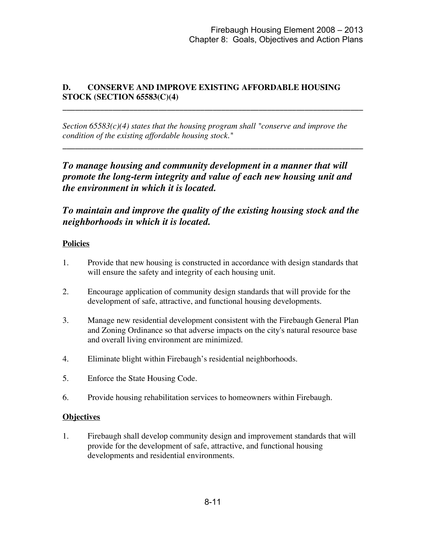# **D. CONSERVE AND IMPROVE EXISTING AFFORDABLE HOUSING STOCK (SECTION 65583(C)(4)**

*Section 65583(c)(4) states that the housing program shall "conserve and improve the condition of the existing affordable housing stock."*

**\_\_\_\_\_\_\_\_\_\_\_\_\_\_\_\_\_\_\_\_\_\_\_\_\_\_\_\_\_\_\_\_\_\_\_\_\_\_\_\_\_\_\_\_\_\_\_\_\_\_\_\_\_\_\_\_\_\_\_\_\_\_\_\_\_\_\_\_\_\_\_\_**

**\_\_\_\_\_\_\_\_\_\_\_\_\_\_\_\_\_\_\_\_\_\_\_\_\_\_\_\_\_\_\_\_\_\_\_\_\_\_\_\_\_\_\_\_\_\_\_\_\_\_\_\_\_\_\_\_\_\_\_\_\_\_\_\_\_\_\_\_\_\_\_\_**

*To manage housing and community development in a manner that will promote the long-term integrity and value of each new housing unit and the environment in which it is located.*

*To maintain and improve the quality of the existing housing stock and the neighborhoods in which it is located.*

#### **Policies**

- 1. Provide that new housing is constructed in accordance with design standards that will ensure the safety and integrity of each housing unit.
- 2. Encourage application of community design standards that will provide for the development of safe, attractive, and functional housing developments.
- 3. Manage new residential development consistent with the Firebaugh General Plan and Zoning Ordinance so that adverse impacts on the city's natural resource base and overall living environment are minimized.
- 4. Eliminate blight within Firebaugh's residential neighborhoods.
- 5. Enforce the State Housing Code.
- 6. Provide housing rehabilitation services to homeowners within Firebaugh.

## **Objectives**

1. Firebaugh shall develop community design and improvement standards that will provide for the development of safe, attractive, and functional housing developments and residential environments.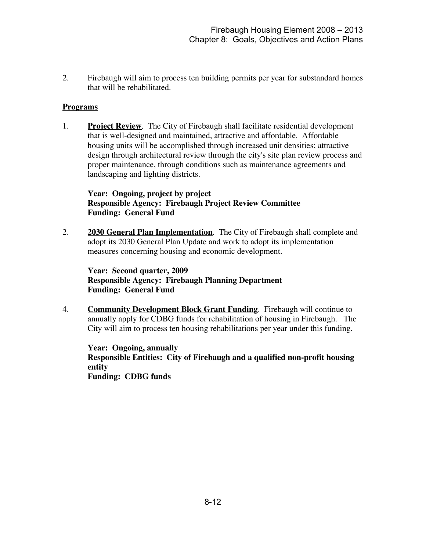2. Firebaugh will aim to process ten building permits per year for substandard homes that will be rehabilitated.

#### **Programs**

1. **Project Review**. The City of Firebaugh shall facilitate residential development that is well-designed and maintained, attractive and affordable. Affordable housing units will be accomplished through increased unit densities; attractive design through architectural review through the city's site plan review process and proper maintenance, through conditions such as maintenance agreements and landscaping and lighting districts.

#### **Year: Ongoing, project by project Responsible Agency: Firebaugh Project Review Committee Funding: General Fund**

2. **2030 General Plan Implementation**. The City of Firebaugh shall complete and adopt its 2030 General Plan Update and work to adopt its implementation measures concerning housing and economic development.

**Year: Second quarter, 2009 Responsible Agency: Firebaugh Planning Department Funding: General Fund**

4. **Community Development Block Grant Funding**. Firebaugh will continue to annually apply for CDBG funds for rehabilitation of housing in Firebaugh. The City will aim to process ten housing rehabilitations per year under this funding.

**Year: Ongoing, annually Responsible Entities: City of Firebaugh and a qualified non-profit housing entity Funding: CDBG funds**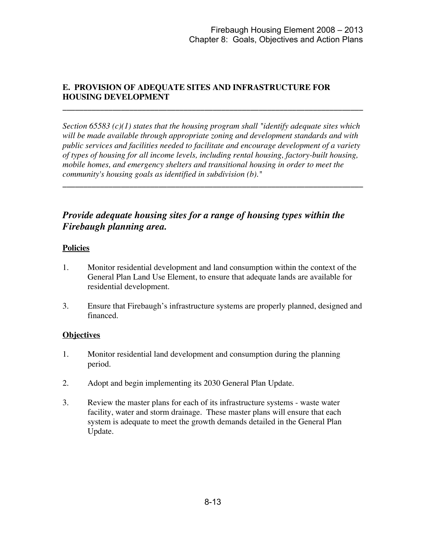# **E. PROVISION OF ADEQUATE SITES AND INFRASTRUCTURE FOR HOUSING DEVELOPMENT**

*Section 65583 (c)(1) states that the housing program shall "identify adequate sites which will be made available through appropriate zoning and development standards and with public services and facilities needed to facilitate and encourage development of a variety of types of housing for all income levels, including rental housing, factory-built housing, mobile homes, and emergency shelters and transitional housing in order to meet the community's housing goals as identified in subdivision (b)."*

**\_\_\_\_\_\_\_\_\_\_\_\_\_\_\_\_\_\_\_\_\_\_\_\_\_\_\_\_\_\_\_\_\_\_\_\_\_\_\_\_\_\_\_\_\_\_\_\_\_\_\_\_\_\_\_\_\_\_\_\_\_\_\_\_\_\_\_\_\_\_\_\_**

**\_\_\_\_\_\_\_\_\_\_\_\_\_\_\_\_\_\_\_\_\_\_\_\_\_\_\_\_\_\_\_\_\_\_\_\_\_\_\_\_\_\_\_\_\_\_\_\_\_\_\_\_\_\_\_\_\_\_\_\_\_\_\_\_\_\_\_\_\_\_\_\_**

# *Provide adequate housing sites for a range of housing types within the Firebaugh planning area.*

## **Policies**

- 1. Monitor residential development and land consumption within the context of the General Plan Land Use Element, to ensure that adequate lands are available for residential development.
- 3. Ensure that Firebaugh's infrastructure systems are properly planned, designed and financed.

#### **Objectives**

- 1. Monitor residential land development and consumption during the planning period.
- 2. Adopt and begin implementing its 2030 General Plan Update.
- 3. Review the master plans for each of its infrastructure systems waste water facility, water and storm drainage. These master plans will ensure that each system is adequate to meet the growth demands detailed in the General Plan Update.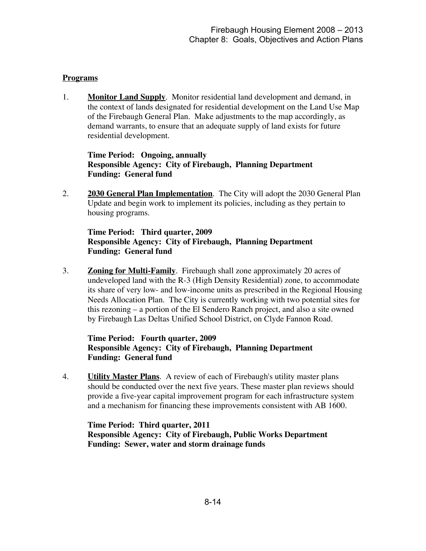#### **Programs**

1. **Monitor Land Supply**. Monitor residential land development and demand, in the context of lands designated for residential development on the Land Use Map of the Firebaugh General Plan. Make adjustments to the map accordingly, as demand warrants, to ensure that an adequate supply of land exists for future residential development.

**Time Period: Ongoing, annually Responsible Agency: City of Firebaugh, Planning Department Funding: General fund**

2. **2030 General Plan Implementation**. The City will adopt the 2030 General Plan Update and begin work to implement its policies, including as they pertain to housing programs.

#### **Time Period: Third quarter, 2009 Responsible Agency: City of Firebaugh, Planning Department Funding: General fund**

3. **Zoning for Multi-Family**. Firebaugh shall zone approximately 20 acres of undeveloped land with the R-3 (High Density Residential) zone, to accommodate its share of very low- and low-income units as prescribed in the Regional Housing Needs Allocation Plan. The City is currently working with two potential sites for this rezoning – a portion of the El Sendero Ranch project, and also a site owned by Firebaugh Las Deltas Unified School District, on Clyde Fannon Road.

# **Time Period: Fourth quarter, 2009 Responsible Agency: City of Firebaugh, Planning Department Funding: General fund**

4. **Utility Master Plans**. A review of each of Firebaugh's utility master plans should be conducted over the next five years. These master plan reviews should provide a five-year capital improvement program for each infrastructure system and a mechanism for financing these improvements consistent with AB 1600.

**Time Period: Third quarter, 2011 Responsible Agency: City of Firebaugh, Public Works Department Funding: Sewer, water and storm drainage funds**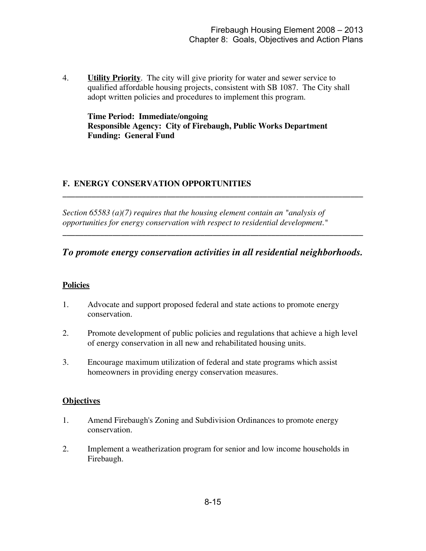4. **Utility Priority**. The city will give priority for water and sewer service to qualified affordable housing projects, consistent with SB 1087. The City shall adopt written policies and procedures to implement this program.

**Time Period: Immediate/ongoing Responsible Agency: City of Firebaugh, Public Works Department Funding: General Fund**

## **F. ENERGY CONSERVATION OPPORTUNITIES**

*Section 65583 (a)(7) requires that the housing element contain an "analysis of opportunities for energy conservation with respect to residential development."*

# *To promote energy conservation activities in all residential neighborhoods.*

**\_\_\_\_\_\_\_\_\_\_\_\_\_\_\_\_\_\_\_\_\_\_\_\_\_\_\_\_\_\_\_\_\_\_\_\_\_\_\_\_\_\_\_\_\_\_\_\_\_\_\_\_\_\_\_\_\_\_\_\_\_\_\_\_\_\_\_\_\_\_\_\_**

**\_\_\_\_\_\_\_\_\_\_\_\_\_\_\_\_\_\_\_\_\_\_\_\_\_\_\_\_\_\_\_\_\_\_\_\_\_\_\_\_\_\_\_\_\_\_\_\_\_\_\_\_\_\_\_\_\_\_\_\_\_\_\_\_\_\_\_\_\_\_\_\_**

## **Policies**

- 1. Advocate and support proposed federal and state actions to promote energy conservation.
- 2. Promote development of public policies and regulations that achieve a high level of energy conservation in all new and rehabilitated housing units.
- 3. Encourage maximum utilization of federal and state programs which assist homeowners in providing energy conservation measures.

#### **Objectives**

- 1. Amend Firebaugh's Zoning and Subdivision Ordinances to promote energy conservation.
- 2. Implement a weatherization program for senior and low income households in Firebaugh.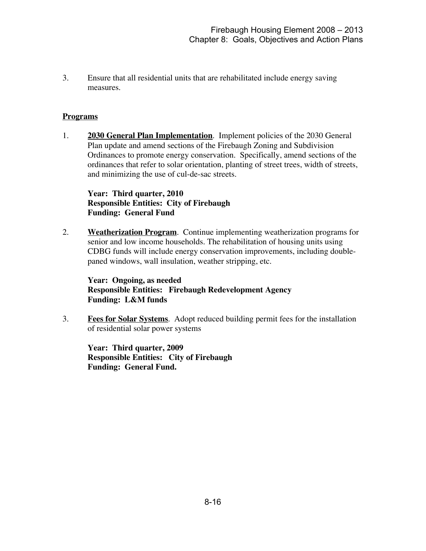3. Ensure that all residential units that are rehabilitated include energy saving measures.

#### **Programs**

1. **2030 General Plan Implementation**. Implement policies of the 2030 General Plan update and amend sections of the Firebaugh Zoning and Subdivision Ordinances to promote energy conservation. Specifically, amend sections of the ordinances that refer to solar orientation, planting of street trees, width of streets, and minimizing the use of cul-de-sac streets.

#### **Year: Third quarter, 2010 Responsible Entities: City of Firebaugh Funding: General Fund**

2. **Weatherization Program**. Continue implementing weatherization programs for senior and low income households. The rehabilitation of housing units using CDBG funds will include energy conservation improvements, including doublepaned windows, wall insulation, weather stripping, etc.

## **Year: Ongoing, as needed Responsible Entities: Firebaugh Redevelopment Agency Funding: L&M funds**

3. **Fees for Solar Systems**. Adopt reduced building permit fees for the installation of residential solar power systems

**Year: Third quarter, 2009 Responsible Entities: City of Firebaugh Funding: General Fund.**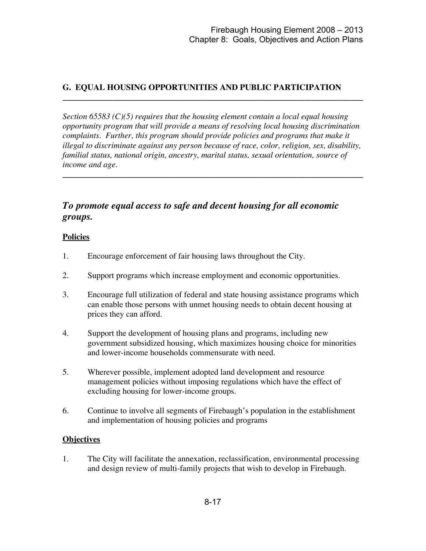# **G. EQUAL HOUSING OPPORTUNITIES AND PUBLIC PARTICIPATION**

*Section 65583 (C)(5) requires that the housing element contain a local equal housing opportunity program that will provide a means of resolving local housing discrimination complaints. Further, this program should provide policies and programs that make it illegal to discriminate against any person because of race, color, religion, sex, disability, familial status, national origin, ancestry, marital status, sexual orientation, source of income and age.*

**\_\_\_\_\_\_\_\_\_\_\_\_\_\_\_\_\_\_\_\_\_\_\_\_\_\_\_\_\_\_\_\_\_\_\_\_\_\_\_\_\_\_\_\_\_\_\_\_\_\_\_\_\_\_\_\_\_\_\_\_\_\_\_\_\_\_\_\_\_\_\_\_**

**\_\_\_\_\_\_\_\_\_\_\_\_\_\_\_\_\_\_\_\_\_\_\_\_\_\_\_\_\_\_\_\_\_\_\_\_\_\_\_\_\_\_\_\_\_\_\_\_\_\_\_\_\_\_\_\_\_\_\_\_\_\_\_\_\_\_\_\_\_\_\_\_**

# *To promote equal access to safe and decent housing for all economic groups.*

#### **Policies**

- 1. Encourage enforcement of fair housing laws throughout the City.
- 2. Support programs which increase employment and economic opportunities.
- 3. Encourage full utilization of federal and state housing assistance programs which can enable those persons with unmet housing needs to obtain decent housing at prices they can afford.
- 4. Support the development of housing plans and programs, including new government subsidized housing, which maximizes housing choice for minorities and lower-income households commensurate with need.
- 5. Wherever possible, implement adopted land development and resource management policies without imposing regulations which have the effect of excluding housing for lower-income groups.
- 6. Continue to involve all segments of Firebaugh's population in the establishment and implementation of housing policies and programs

#### **Objectives**

1. The City will facilitate the annexation, reclassification, environmental processing and design review of multi-family projects that wish to develop in Firebaugh.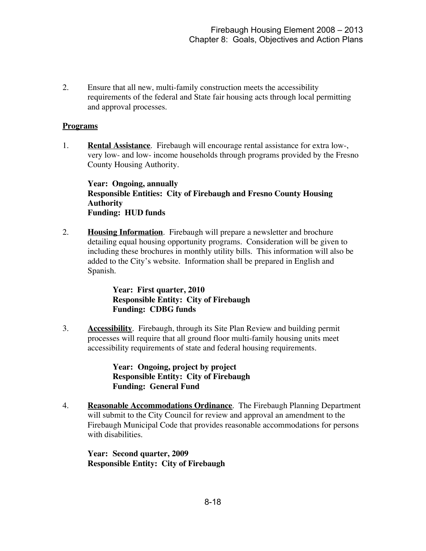2. Ensure that all new, multi-family construction meets the accessibility requirements of the federal and State fair housing acts through local permitting and approval processes.

#### **Programs**

1. **Rental Assistance**. Firebaugh will encourage rental assistance for extra low-, very low- and low- income households through programs provided by the Fresno County Housing Authority.

**Year: Ongoing, annually Responsible Entities: City of Firebaugh and Fresno County Housing Authority Funding: HUD funds**

2. **Housing Information**. Firebaugh will prepare a newsletter and brochure detailing equal housing opportunity programs. Consideration will be given to including these brochures in monthly utility bills. This information will also be added to the City's website. Information shall be prepared in English and Spanish.

> **Year: First quarter, 2010 Responsible Entity: City of Firebaugh Funding: CDBG funds**

3. **Accessibility**. Firebaugh, through its Site Plan Review and building permit processes will require that all ground floor multi-family housing units meet accessibility requirements of state and federal housing requirements.

> **Year: Ongoing, project by project Responsible Entity: City of Firebaugh Funding: General Fund**

4. **Reasonable Accommodations Ordinance**. The Firebaugh Planning Department will submit to the City Council for review and approval an amendment to the Firebaugh Municipal Code that provides reasonable accommodations for persons with disabilities.

**Year: Second quarter, 2009 Responsible Entity: City of Firebaugh**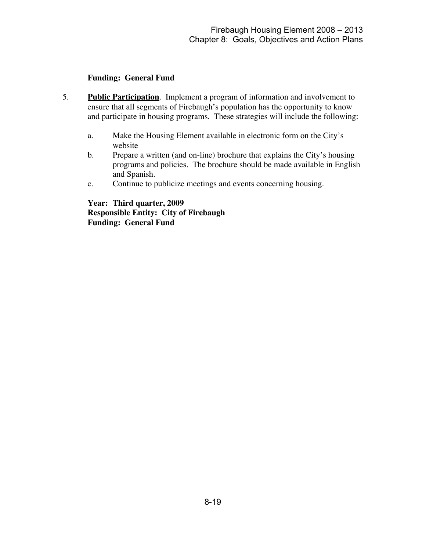#### **Funding: General Fund**

- 5. **Public Participation**. Implement a program of information and involvement to ensure that all segments of Firebaugh's population has the opportunity to know and participate in housing programs. These strategies will include the following:
	- a. Make the Housing Element available in electronic form on the City's website
	- b. Prepare a written (and on-line) brochure that explains the City's housing programs and policies. The brochure should be made available in English and Spanish.
	- c. Continue to publicize meetings and events concerning housing.

**Year: Third quarter, 2009 Responsible Entity: City of Firebaugh Funding: General Fund**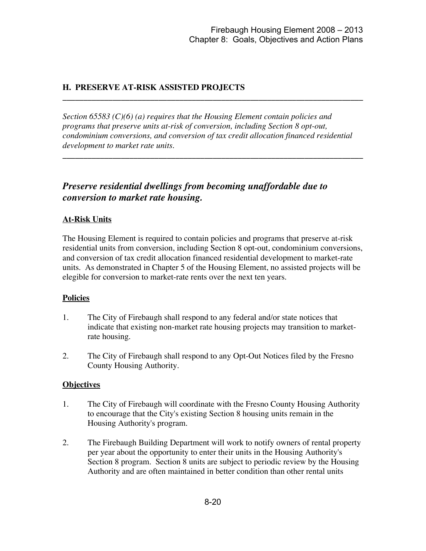# **H. PRESERVE AT-RISK ASSISTED PROJECTS**

*Section 65583 (C)(6) (a) requires that the Housing Element contain policies and programs that preserve units at-risk of conversion, including Section 8 opt-out, condominium conversions, and conversion of tax credit allocation financed residential development to market rate units.*

**\_\_\_\_\_\_\_\_\_\_\_\_\_\_\_\_\_\_\_\_\_\_\_\_\_\_\_\_\_\_\_\_\_\_\_\_\_\_\_\_\_\_\_\_\_\_\_\_\_\_\_\_\_\_\_\_\_\_\_\_\_\_\_\_\_\_\_\_\_\_\_\_**

**\_\_\_\_\_\_\_\_\_\_\_\_\_\_\_\_\_\_\_\_\_\_\_\_\_\_\_\_\_\_\_\_\_\_\_\_\_\_\_\_\_\_\_\_\_\_\_\_\_\_\_\_\_\_\_\_\_\_\_\_\_\_\_\_\_\_\_\_\_\_\_\_**

# *Preserve residential dwellings from becoming unaffordable due to conversion to market rate housing.*

#### **At-Risk Units**

The Housing Element is required to contain policies and programs that preserve at-risk residential units from conversion, including Section 8 opt-out, condominium conversions, and conversion of tax credit allocation financed residential development to market-rate units. As demonstrated in Chapter 5 of the Housing Element, no assisted projects will be elegible for conversion to market-rate rents over the next ten years.

#### **Policies**

- 1. The City of Firebaugh shall respond to any federal and/or state notices that indicate that existing non-market rate housing projects may transition to marketrate housing.
- 2. The City of Firebaugh shall respond to any Opt-Out Notices filed by the Fresno County Housing Authority.

#### **Objectives**

- 1. The City of Firebaugh will coordinate with the Fresno County Housing Authority to encourage that the City's existing Section 8 housing units remain in the Housing Authority's program.
- 2. The Firebaugh Building Department will work to notify owners of rental property per year about the opportunity to enter their units in the Housing Authority's Section 8 program. Section 8 units are subject to periodic review by the Housing Authority and are often maintained in better condition than other rental units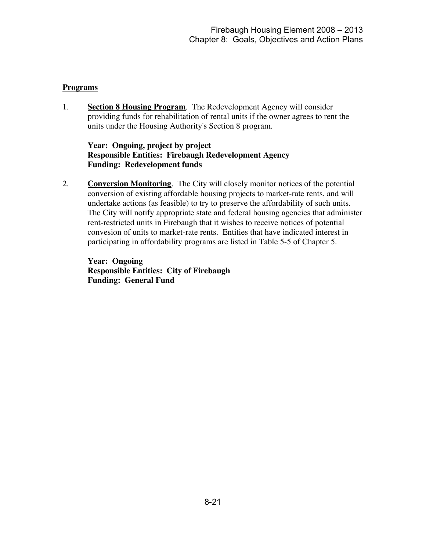#### **Programs**

1. **Section 8 Housing Program**. The Redevelopment Agency will consider providing funds for rehabilitation of rental units if the owner agrees to rent the units under the Housing Authority's Section 8 program.

#### **Year: Ongoing, project by project Responsible Entities: Firebaugh Redevelopment Agency Funding: Redevelopment funds**

2. **Conversion Monitoring**. The City will closely monitor notices of the potential conversion of existing affordable housing projects to market-rate rents, and will undertake actions (as feasible) to try to preserve the affordability of such units. The City will notify appropriate state and federal housing agencies that administer rent-restricted units in Firebaugh that it wishes to receive notices of potential convesion of units to market-rate rents. Entities that have indicated interest in participating in affordability programs are listed in Table 5-5 of Chapter 5.

**Year: Ongoing Responsible Entities: City of Firebaugh Funding: General Fund**